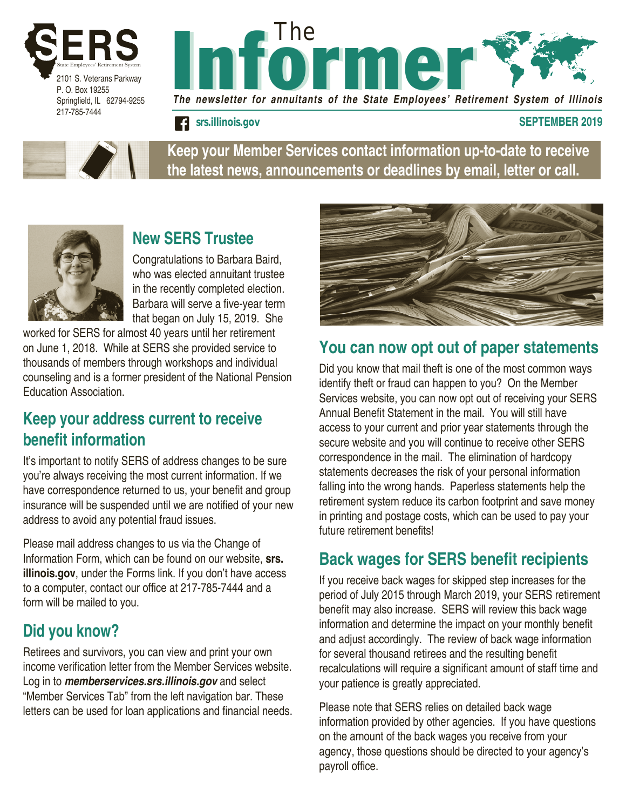



*srs.illinois.gov* **SEPTEMBER 2019**



**Keep your Member Services contact information up-to-date to receive the latest news, announcements or deadlines by email, letter or call.**



# **New SERS Trustee**

Congratulations to Barbara Baird, who was elected annuitant trustee in the recently completed election. Barbara will serve a five-year term that began on July 15, 2019. She

worked for SERS for almost 40 years until her retirement on June 1, 2018. While at SERS she provided service to thousands of members through workshops and individual counseling and is a former president of the National Pension Education Association.

#### **Keep your address current to receive benefit information**

It's important to notify SERS of address changes to be sure you're always receiving the most current information. If we have correspondence returned to us, your benefit and group insurance will be suspended until we are notified of your new address to avoid any potential fraud issues.

Please mail address changes to us via the Change of Information Form, which can be found on our website, **srs. illinois.gov**, under the Forms link. If you don't have access to a computer, contact our office at 217-785-7444 and a form will be mailed to you.

# **Did you know?**

Retirees and survivors, you can view and print your own income verification letter from the Member Services website. Log in to *memberservices.srs.illinois.gov* and select "Member Services Tab" from the left navigation bar. These letters can be used for loan applications and financial needs.



### **You can now opt out of paper statements**

Did you know that mail theft is one of the most common ways identify theft or fraud can happen to you? On the Member Services website, you can now opt out of receiving your SERS Annual Benefit Statement in the mail. You will still have access to your current and prior year statements through the secure website and you will continue to receive other SERS correspondence in the mail. The elimination of hardcopy statements decreases the risk of your personal information falling into the wrong hands. Paperless statements help the retirement system reduce its carbon footprint and save money in printing and postage costs, which can be used to pay your future retirement benefits!

# **Back wages for SERS benefit recipients**

If you receive back wages for skipped step increases for the period of July 2015 through March 2019, your SERS retirement benefit may also increase. SERS will review this back wage information and determine the impact on your monthly benefit and adjust accordingly. The review of back wage information for several thousand retirees and the resulting benefit recalculations will require a significant amount of staff time and your patience is greatly appreciated.

Please note that SERS relies on detailed back wage information provided by other agencies. If you have questions on the amount of the back wages you receive from your agency, those questions should be directed to your agency's payroll office.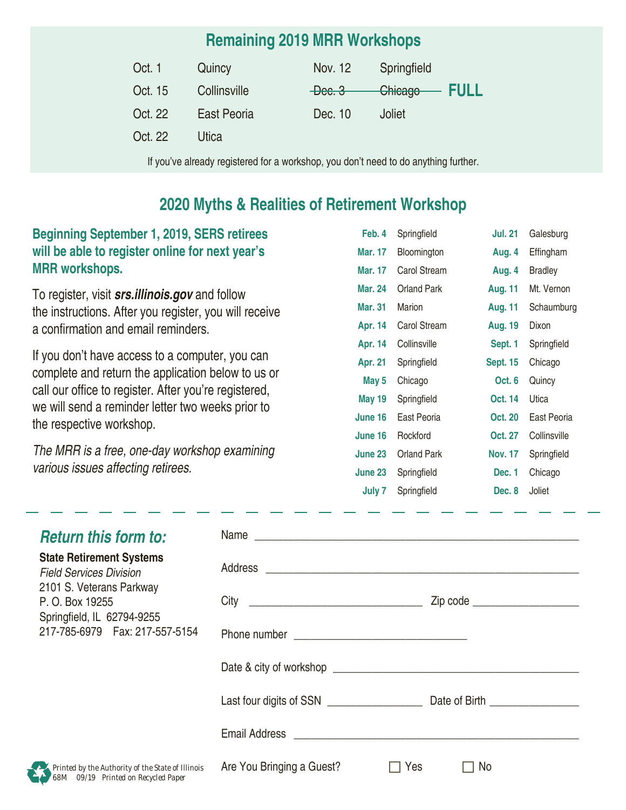### **Remaining 2019 MRR Workshops**

| Oct. 1  | Quincy       | Nov. 12             | Springfield  |  |
|---------|--------------|---------------------|--------------|--|
| Oct. 15 | Collinsville | <del>Dec. 3 —</del> | Chicago FULL |  |
| Oct. 22 | East Peoria  | Dec. 10             | Joliet       |  |
| Oct. 22 | Utica        |                     |              |  |
|         |              |                     |              |  |

If you've already registered for a workshop, you don't need to do anything further.

#### **2020 Myths & Realities of Retirement Workshop**

| <b>Beginning September 1, 2019, SERS retirees</b> |  |
|---------------------------------------------------|--|
| will be able to register online for next year's   |  |
| <b>MRR</b> workshops.                             |  |

To register, visit *srs.illinois.gov* and follow the instructions. After you register, you will receive a confirmation and email reminders.

If you don't have access to a computer, you can complete and return the application below to us or call our office to register. After you're registered, we will send a reminder letter two weeks prior to the respective workshop.

*The MRR is a free, one-day workshop examining various issues affecting retirees.*

| Feb. 4         | Springfield     | <b>Jul. 21</b>  | Galesburg    |
|----------------|-----------------|-----------------|--------------|
| Mar. 17        | Bloomington     | Aug. 4          | Effingham    |
| Mar. 17        | Carol Stream    | Aug. 4          | Bradley      |
| <b>Mar. 24</b> | Orland Park     | <b>Aug. 11</b>  | Mt. Vernon   |
| <b>Mar. 31</b> | Marion          | <b>Aug. 11</b>  | Schaumburg   |
| Apr. 14        | Carol Stream    | <b>Aug. 19</b>  | Dixon        |
| Apr. 14        | Collinsville    | Sept. 1         | Springfield  |
| Apr. 21        | Springfield     | <b>Sept. 15</b> | Chicago      |
| May 5          | Chicago         | Oct. 6          | Quincy       |
| <b>May 19</b>  | Springfield     | Oct. 14         | Utica        |
| June 16        | East Peoria     | Oct. 20         | East Peoria  |
| June 16        | <b>Rockford</b> | Oct. 27         | Collinsville |
| June 23        | Orland Park     | <b>Nov. 17</b>  | Springfield  |
| June 23        | Springfield     | Dec. 1          | Chicago      |
| <b>July 7</b>  | Springfield     | Dec. 8          | Joliet       |

| <b>Return this form to:</b>                                                                   | Name                                               |
|-----------------------------------------------------------------------------------------------|----------------------------------------------------|
| <b>State Retirement Systems</b><br><b>Field Services Division</b><br>2101 S. Veterans Parkway |                                                    |
| P. O. Box 19255                                                                               | Zip code _____________________                     |
| Springfield, IL 62794-9255<br>217-785-6979  Fax: 217-557-5154                                 |                                                    |
|                                                                                               |                                                    |
|                                                                                               |                                                    |
|                                                                                               |                                                    |
| Printed by the Authority of the State of Illinois<br>68M 09/19 Printed on Recycled Paper      | Are You Bringing a Guest?<br>Yes<br>N <sub>o</sub> |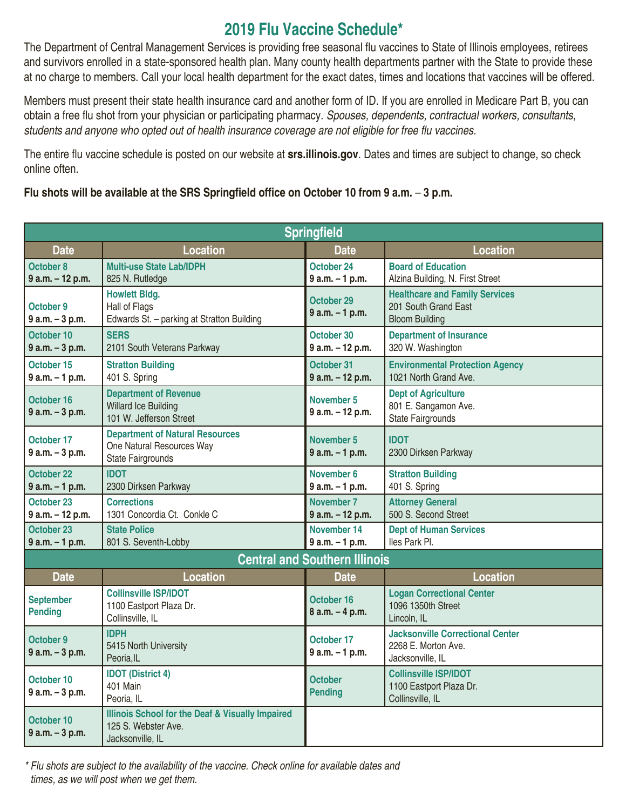#### **2019 Flu Vaccine Schedule\***

The Department of Central Management Services is providing free seasonal flu vaccines to State of Illinois employees, retirees and survivors enrolled in a state-sponsored health plan. Many county health departments partner with the State to provide these at no charge to members. Call your local health department for the exact dates, times and locations that vaccines will be offered.

Members must present their state health insurance card and another form of ID. If you are enrolled in Medicare Part B, you can obtain a free flu shot from your physician or participating pharmacy. *Spouses, dependents, contractual workers, consultants,*  students and anyone who opted out of health insurance coverage are not eligible for free flu vaccines.

The entire flu vaccine schedule is posted on our website at **srs.illinois.gov**. Dates and times are subject to change, so check online often.

**Flu shots will be available at the SRS Springfield office on October 10 from 9 a.m.** – **3 p.m.** 

| Springfield                          |                                                                                                 |                                       |                                                                                        |
|--------------------------------------|-------------------------------------------------------------------------------------------------|---------------------------------------|----------------------------------------------------------------------------------------|
| <b>Date</b>                          | <b>Location</b>                                                                                 | <b>Date</b>                           | <b>Location</b>                                                                        |
| October 8<br>9 a.m. - 12 p.m.        | <b>Multi-use State Lab/IDPH</b><br>825 N. Rutledge                                              | October 24<br>$9 a.m. - 1 p.m.$       | <b>Board of Education</b><br>Alzina Building, N. First Street                          |
| October 9<br>$9 a.m. - 3 p.m.$       | <b>Howlett Bldg.</b><br>Hall of Flags<br>Edwards St. - parking at Stratton Building             | October 29<br>$9 a.m. - 1 p.m.$       | <b>Healthcare and Family Services</b><br>201 South Grand East<br><b>Bloom Building</b> |
| October 10<br>$9 a.m. - 3 p.m.$      | <b>SERS</b><br>2101 South Veterans Parkway                                                      | October 30<br>9 a.m. - 12 p.m.        | <b>Department of Insurance</b><br>320 W. Washington                                    |
| October 15<br>$9 a.m. - 1 p.m.$      | <b>Stratton Building</b><br>401 S. Spring                                                       | October 31<br>9 a.m. - 12 p.m.        | <b>Environmental Protection Agency</b><br>1021 North Grand Ave.                        |
| October 16<br>$9 a.m. - 3 p.m.$      | <b>Department of Revenue</b><br><b>Willard Ice Building</b><br>101 W. Jefferson Street          | November 5<br>9 a.m. - 12 p.m.        | <b>Dept of Agriculture</b><br>801 E. Sangamon Ave.<br><b>State Fairgrounds</b>         |
| October 17<br>$9 a.m. - 3 p.m.$      | <b>Department of Natural Resources</b><br>One Natural Resources Way<br><b>State Fairgrounds</b> | November 5<br>$9 a.m. - 1 p.m.$       | <b>IDOT</b><br>2300 Dirksen Parkway                                                    |
| October 22<br>$9 a.m. - 1 p.m.$      | <b>IDOT</b><br>2300 Dirksen Parkway                                                             | November 6<br>$9 a.m. - 1 p.m.$       | <b>Stratton Building</b><br>401 S. Spring                                              |
| October 23<br>9 a.m. - 12 p.m.       | <b>Corrections</b><br>1301 Concordia Ct. Conkle C                                               | <b>November 7</b><br>9 a.m. - 12 p.m. | <b>Attorney General</b><br>500 S. Second Street                                        |
| October 23<br>$9 a.m. - 1 p.m.$      | <b>State Police</b><br>801 S. Seventh-Lobby                                                     | November 14<br>$9 a.m. - 1 p.m.$      | <b>Dept of Human Services</b><br>Iles Park Pl.                                         |
| <b>Central and Southern Illinois</b> |                                                                                                 |                                       |                                                                                        |
| <b>Date</b>                          | <b>Location</b>                                                                                 | <b>Date</b>                           | <b>Location</b>                                                                        |
| <b>September</b><br><b>Pending</b>   | <b>Collinsville ISP/IDOT</b><br>1100 Eastport Plaza Dr.<br>Collinsville, IL                     | October 16<br>$8$ a.m. $-4$ p.m.      | <b>Logan Correctional Center</b><br>1096 1350th Street<br>Lincoln, IL                  |
| October 9<br>$9 a.m. - 3 p.m.$       | <b>IDPH</b><br>5415 North University<br>Peoria, IL                                              | October 17<br>$9 a.m. - 1 p.m.$       | <b>Jacksonville Correctional Center</b><br>2268 E. Morton Ave.<br>Jacksonville, IL     |
| October 10<br>$9 a.m. - 3 p.m.$      | <b>IDOT</b> (District 4)<br>401 Main<br>Peoria, IL                                              | <b>October</b><br><b>Pending</b>      | <b>Collinsville ISP/IDOT</b><br>1100 Eastport Plaza Dr.<br>Collinsville, IL            |
| October 10<br>$9 a.m. - 3 p.m.$      | Illinois School for the Deaf & Visually Impaired<br>125 S. Webster Ave.<br>Jacksonville, IL     |                                       |                                                                                        |

*\* Flu shots are subject to the availability of the vaccine. Check online for available dates and times, as we will post when we get them.*